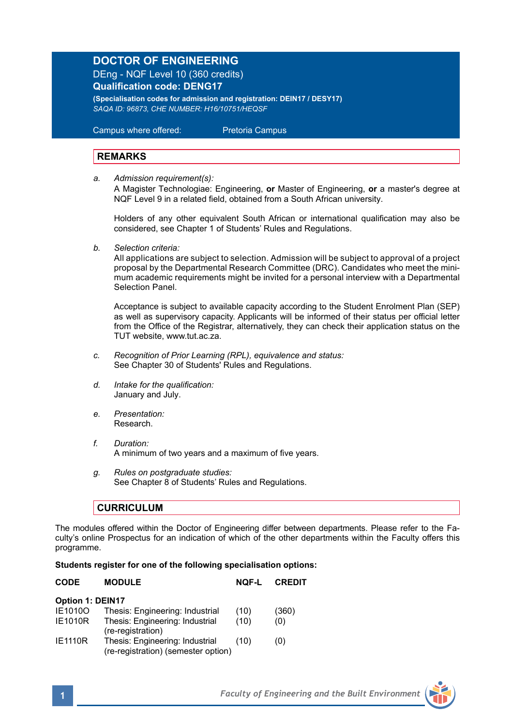# **DOCTOR OF ENGINEERING**

DEng - NQF Level 10 (360 credits) **Qualification code: DENG17**

**(Specialisation codes for admission and registration: DEIN17 / DESY17)** *SAQA ID: 96873, CHE NUMBER: H16/10751/HEQSF*

Campus where offered: Pretoria Campus

## **REMARKS**

*a. Admission requirement(s):*

A Magister Technologiae: Engineering, **or** Master of Engineering, **or** a master's degree at NQF Level 9 in a related field, obtained from a South African university.

Holders of any other equivalent South African or international qualification may also be considered, see Chapter 1 of Students' Rules and Regulations.

*b. Selection criteria:*

All applications are subject to selection. Admission will be subject to approval of a project proposal by the Departmental Research Committee (DRC). Candidates who meet the minimum academic requirements might be invited for a personal interview with a Departmental Selection Panel.

Acceptance is subject to available capacity according to the Student Enrolment Plan (SEP) as well as supervisory capacity. Applicants will be informed of their status per official letter from the Office of the Registrar, alternatively, they can check their application status on the TUT website, www.tut.ac.za.

- *c. Recognition of Prior Learning (RPL), equivalence and status:* See Chapter 30 of Students' Rules and Regulations.
- *d. Intake for the qualification:* January and July.
- *e. Presentation:* Research.
- *f. Duration:* A minimum of two years and a maximum of five years.
- *g. Rules on postgraduate studies:* See Chapter 8 of Students' Rules and Regulations.

# **CURRICULUM**

The modules offered within the Doctor of Engineering differ between departments. Please refer to the Faculty's online Prospectus for an indication of which of the other departments within the Faculty offers this programme.

#### **Students register for one of the following specialisation options:**

| <b>CODE</b>             | <b>MODULE</b>                                                          | NOF-L | <b>CREDIT</b> |  |  |  |
|-------------------------|------------------------------------------------------------------------|-------|---------------|--|--|--|
| <b>Option 1: DEIN17</b> |                                                                        |       |               |  |  |  |
| IE1010O                 | Thesis: Engineering: Industrial                                        | (10)  | (360)         |  |  |  |
| <b>IE1010R</b>          | Thesis: Engineering: Industrial<br>(re-registration)                   | (10)  | (0)           |  |  |  |
| <b>IE1110R</b>          | Thesis: Engineering: Industrial<br>(re-registration) (semester option) | (10)  | (0)           |  |  |  |